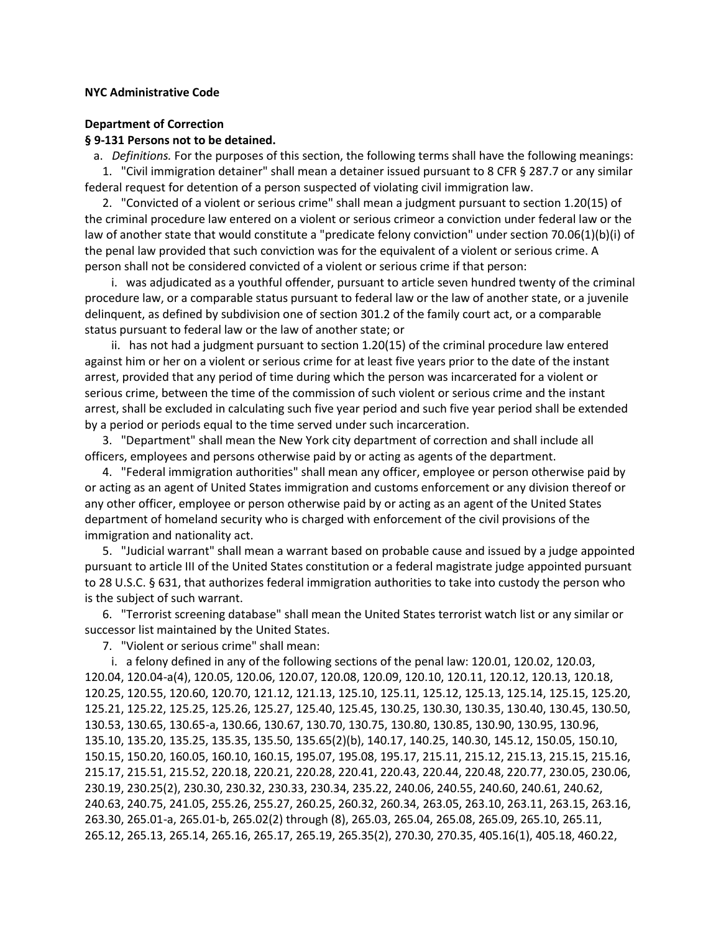## **NYC Administrative Code**

## **Department of Correction**

#### **§ 9-131 Persons not to be detained.**

 a. *Definitions.* For the purposes of this section, the following terms shall have the following meanings: 1. "Civil immigration detainer" shall mean a detainer issued pursuant to 8 CFR § 287.7 or any similar federal request for detention of a person suspected of violating civil immigration law.

 2. "Convicted of a violent or serious crime" shall mean a judgment pursuant to section 1.20(15) of the criminal procedure law entered on a violent or serious crimeor a conviction under federal law or the law of another state that would constitute a "predicate felony conviction" under section 70.06(1)(b)(i) of the penal law provided that such conviction was for the equivalent of a violent or serious crime. A person shall not be considered convicted of a violent or serious crime if that person:

 i. was adjudicated as a youthful offender, pursuant to article seven hundred twenty of the criminal procedure law, or a comparable status pursuant to federal law or the law of another state, or a juvenile delinquent, as defined by subdivision one of section 301.2 of the family court act, or a comparable status pursuant to federal law or the law of another state; or

 ii. has not had a judgment pursuant to section 1.20(15) of the criminal procedure law entered against him or her on a violent or serious crime for at least five years prior to the date of the instant arrest, provided that any period of time during which the person was incarcerated for a violent or serious crime, between the time of the commission of such violent or serious crime and the instant arrest, shall be excluded in calculating such five year period and such five year period shall be extended by a period or periods equal to the time served under such incarceration.

 3. "Department" shall mean the New York city department of correction and shall include all officers, employees and persons otherwise paid by or acting as agents of the department.

 4. "Federal immigration authorities" shall mean any officer, employee or person otherwise paid by or acting as an agent of United States immigration and customs enforcement or any division thereof or any other officer, employee or person otherwise paid by or acting as an agent of the United States department of homeland security who is charged with enforcement of the civil provisions of the immigration and nationality act.

 5. "Judicial warrant" shall mean a warrant based on probable cause and issued by a judge appointed pursuant to article III of the United States constitution or a federal magistrate judge appointed pursuant to 28 U.S.C. § 631, that authorizes federal immigration authorities to take into custody the person who is the subject of such warrant.

 6. "Terrorist screening database" shall mean the United States terrorist watch list or any similar or successor list maintained by the United States.

7. "Violent or serious crime" shall mean:

 i. a felony defined in any of the following sections of the penal law: 120.01, 120.02, 120.03, 120.04, 120.04-a(4), 120.05, 120.06, 120.07, 120.08, 120.09, 120.10, 120.11, 120.12, 120.13, 120.18, 120.25, 120.55, 120.60, 120.70, 121.12, 121.13, 125.10, 125.11, 125.12, 125.13, 125.14, 125.15, 125.20, 125.21, 125.22, 125.25, 125.26, 125.27, 125.40, 125.45, 130.25, 130.30, 130.35, 130.40, 130.45, 130.50, 130.53, 130.65, 130.65-a, 130.66, 130.67, 130.70, 130.75, 130.80, 130.85, 130.90, 130.95, 130.96, 135.10, 135.20, 135.25, 135.35, 135.50, 135.65(2)(b), 140.17, 140.25, 140.30, 145.12, 150.05, 150.10, 150.15, 150.20, 160.05, 160.10, 160.15, 195.07, 195.08, 195.17, 215.11, 215.12, 215.13, 215.15, 215.16, 215.17, 215.51, 215.52, 220.18, 220.21, 220.28, 220.41, 220.43, 220.44, 220.48, 220.77, 230.05, 230.06, 230.19, 230.25(2), 230.30, 230.32, 230.33, 230.34, 235.22, 240.06, 240.55, 240.60, 240.61, 240.62, 240.63, 240.75, 241.05, 255.26, 255.27, 260.25, 260.32, 260.34, 263.05, 263.10, 263.11, 263.15, 263.16, 263.30, 265.01-a, 265.01-b, 265.02(2) through (8), 265.03, 265.04, 265.08, 265.09, 265.10, 265.11, 265.12, 265.13, 265.14, 265.16, 265.17, 265.19, 265.35(2), 270.30, 270.35, 405.16(1), 405.18, 460.22,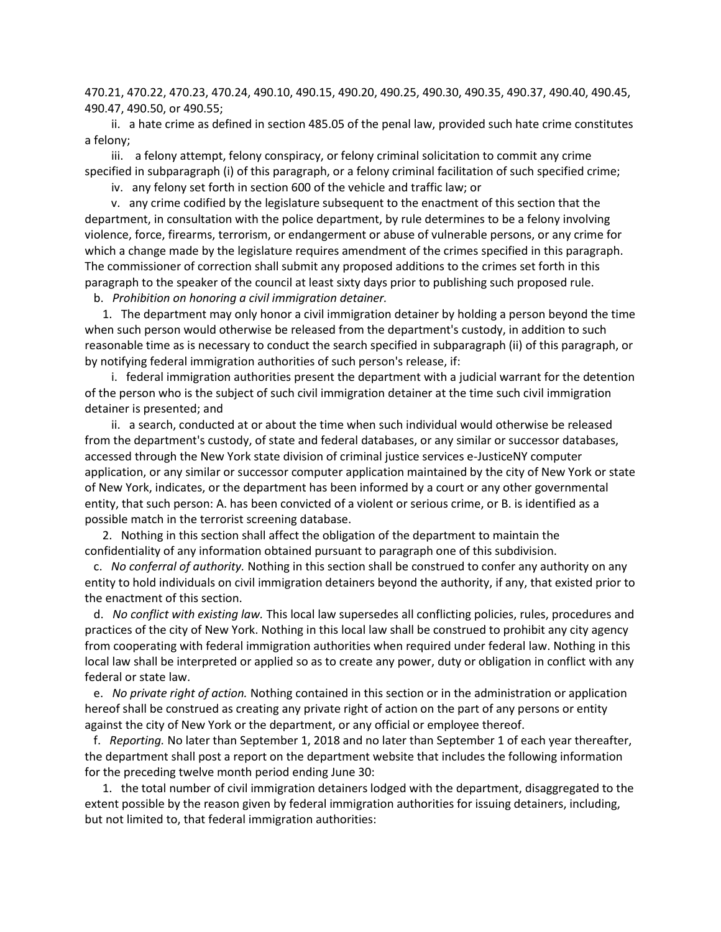470.21, 470.22, 470.23, 470.24, 490.10, 490.15, 490.20, 490.25, 490.30, 490.35, 490.37, 490.40, 490.45, 490.47, 490.50, or 490.55;

 ii. a hate crime as defined in section 485.05 of the penal law, provided such hate crime constitutes a felony;

 iii. a felony attempt, felony conspiracy, or felony criminal solicitation to commit any crime specified in subparagraph (i) of this paragraph, or a felony criminal facilitation of such specified crime;

iv. any felony set forth in section 600 of the vehicle and traffic law; or

 v. any crime codified by the legislature subsequent to the enactment of this section that the department, in consultation with the police department, by rule determines to be a felony involving violence, force, firearms, terrorism, or endangerment or abuse of vulnerable persons, or any crime for which a change made by the legislature requires amendment of the crimes specified in this paragraph. The commissioner of correction shall submit any proposed additions to the crimes set forth in this paragraph to the speaker of the council at least sixty days prior to publishing such proposed rule.

b. *Prohibition on honoring a civil immigration detainer.*

 1. The department may only honor a civil immigration detainer by holding a person beyond the time when such person would otherwise be released from the department's custody, in addition to such reasonable time as is necessary to conduct the search specified in subparagraph (ii) of this paragraph, or by notifying federal immigration authorities of such person's release, if:

 i. federal immigration authorities present the department with a judicial warrant for the detention of the person who is the subject of such civil immigration detainer at the time such civil immigration detainer is presented; and

 ii. a search, conducted at or about the time when such individual would otherwise be released from the department's custody, of state and federal databases, or any similar or successor databases, accessed through the New York state division of criminal justice services e-JusticeNY computer application, or any similar or successor computer application maintained by the city of New York or state of New York, indicates, or the department has been informed by a court or any other governmental entity, that such person: A. has been convicted of a violent or serious crime, or B. is identified as a possible match in the terrorist screening database.

 2. Nothing in this section shall affect the obligation of the department to maintain the confidentiality of any information obtained pursuant to paragraph one of this subdivision.

 c. *No conferral of authority.* Nothing in this section shall be construed to confer any authority on any entity to hold individuals on civil immigration detainers beyond the authority, if any, that existed prior to the enactment of this section.

 d. *No conflict with existing law.* This local law supersedes all conflicting policies, rules, procedures and practices of the city of New York. Nothing in this local law shall be construed to prohibit any city agency from cooperating with federal immigration authorities when required under federal law. Nothing in this local law shall be interpreted or applied so as to create any power, duty or obligation in conflict with any federal or state law.

 e. *No private right of action.* Nothing contained in this section or in the administration or application hereof shall be construed as creating any private right of action on the part of any persons or entity against the city of New York or the department, or any official or employee thereof.

 f. *Reporting.* No later than September 1, 2018 and no later than September 1 of each year thereafter, the department shall post a report on the department website that includes the following information for the preceding twelve month period ending June 30:

 1. the total number of civil immigration detainers lodged with the department, disaggregated to the extent possible by the reason given by federal immigration authorities for issuing detainers, including, but not limited to, that federal immigration authorities: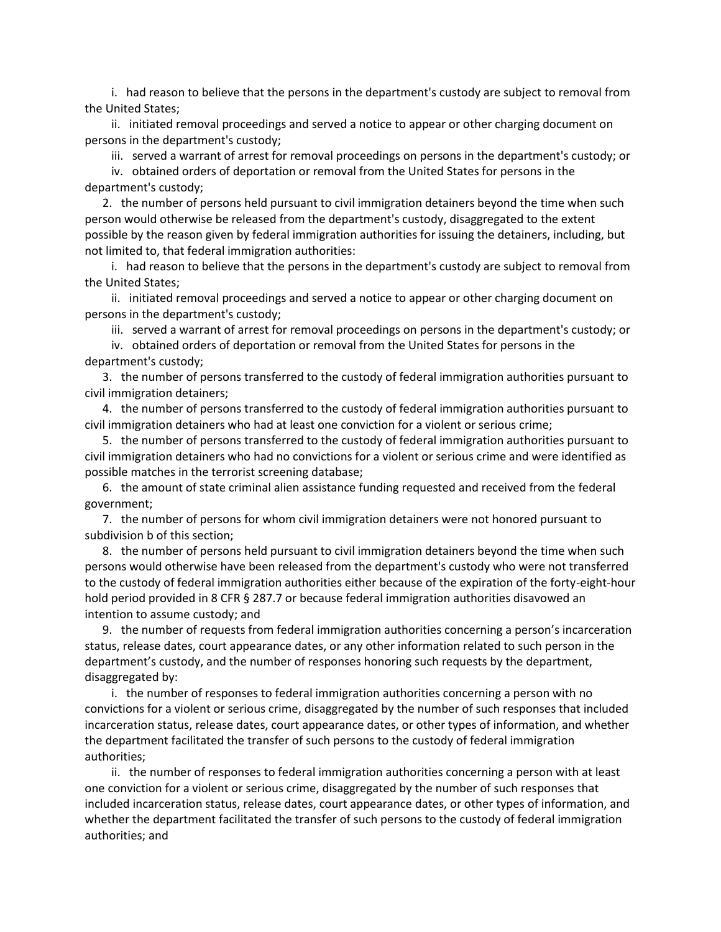i. had reason to believe that the persons in the department's custody are subject to removal from the United States;

 ii. initiated removal proceedings and served a notice to appear or other charging document on persons in the department's custody;

iii. served a warrant of arrest for removal proceedings on persons in the department's custody; or

 iv. obtained orders of deportation or removal from the United States for persons in the department's custody;

 2. the number of persons held pursuant to civil immigration detainers beyond the time when such person would otherwise be released from the department's custody, disaggregated to the extent possible by the reason given by federal immigration authorities for issuing the detainers, including, but not limited to, that federal immigration authorities:

 i. had reason to believe that the persons in the department's custody are subject to removal from the United States;

 ii. initiated removal proceedings and served a notice to appear or other charging document on persons in the department's custody;

iii. served a warrant of arrest for removal proceedings on persons in the department's custody; or

 iv. obtained orders of deportation or removal from the United States for persons in the department's custody;

 3. the number of persons transferred to the custody of federal immigration authorities pursuant to civil immigration detainers;

 4. the number of persons transferred to the custody of federal immigration authorities pursuant to civil immigration detainers who had at least one conviction for a violent or serious crime;

 5. the number of persons transferred to the custody of federal immigration authorities pursuant to civil immigration detainers who had no convictions for a violent or serious crime and were identified as possible matches in the terrorist screening database;

 6. the amount of state criminal alien assistance funding requested and received from the federal government;

 7. the number of persons for whom civil immigration detainers were not honored pursuant to subdivision b of this section;

 8. the number of persons held pursuant to civil immigration detainers beyond the time when such persons would otherwise have been released from the department's custody who were not transferred to the custody of federal immigration authorities either because of the expiration of the forty-eight-hour hold period provided in 8 CFR § 287.7 or because federal immigration authorities disavowed an intention to assume custody; and

 9. the number of requests from federal immigration authorities concerning a person's incarceration status, release dates, court appearance dates, or any other information related to such person in the department's custody, and the number of responses honoring such requests by the department, disaggregated by:

 i. the number of responses to federal immigration authorities concerning a person with no convictions for a violent or serious crime, disaggregated by the number of such responses that included incarceration status, release dates, court appearance dates, or other types of information, and whether the department facilitated the transfer of such persons to the custody of federal immigration authorities;

 ii. the number of responses to federal immigration authorities concerning a person with at least one conviction for a violent or serious crime, disaggregated by the number of such responses that included incarceration status, release dates, court appearance dates, or other types of information, and whether the department facilitated the transfer of such persons to the custody of federal immigration authorities; and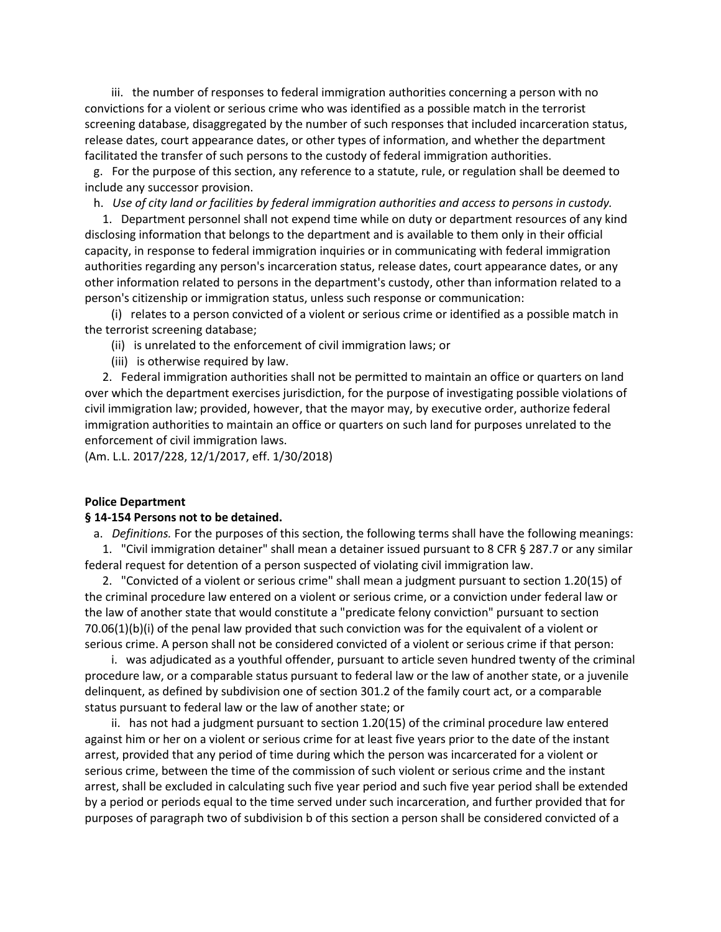iii. the number of responses to federal immigration authorities concerning a person with no convictions for a violent or serious crime who was identified as a possible match in the terrorist screening database, disaggregated by the number of such responses that included incarceration status, release dates, court appearance dates, or other types of information, and whether the department facilitated the transfer of such persons to the custody of federal immigration authorities.

 g. For the purpose of this section, any reference to a statute, rule, or regulation shall be deemed to include any successor provision.

h. *Use of city land or facilities by federal immigration authorities and access to persons in custody.*

 1. Department personnel shall not expend time while on duty or department resources of any kind disclosing information that belongs to the department and is available to them only in their official capacity, in response to federal immigration inquiries or in communicating with federal immigration authorities regarding any person's incarceration status, release dates, court appearance dates, or any other information related to persons in the department's custody, other than information related to a person's citizenship or immigration status, unless such response or communication:

 (i) relates to a person convicted of a violent or serious crime or identified as a possible match in the terrorist screening database;

(ii) is unrelated to the enforcement of civil immigration laws; or

(iii) is otherwise required by law.

 2. Federal immigration authorities shall not be permitted to maintain an office or quarters on land over which the department exercises jurisdiction, for the purpose of investigating possible violations of civil immigration law; provided, however, that the mayor may, by executive order, authorize federal immigration authorities to maintain an office or quarters on such land for purposes unrelated to the enforcement of civil immigration laws.

(Am. L.L. 2017/228, 12/1/2017, eff. 1/30/2018)

#### **Police Department**

# **§ 14-154 Persons not to be detained.**

a. *Definitions.* For the purposes of this section, the following terms shall have the following meanings:

 1. "Civil immigration detainer" shall mean a detainer issued pursuant to 8 CFR § 287.7 or any similar federal request for detention of a person suspected of violating civil immigration law.

 2. "Convicted of a violent or serious crime" shall mean a judgment pursuant to section 1.20(15) of the criminal procedure law entered on a violent or serious crime, or a conviction under federal law or the law of another state that would constitute a "predicate felony conviction" pursuant to section 70.06(1)(b)(i) of the penal law provided that such conviction was for the equivalent of a violent or serious crime. A person shall not be considered convicted of a violent or serious crime if that person:

 i. was adjudicated as a youthful offender, pursuant to article seven hundred twenty of the criminal procedure law, or a comparable status pursuant to federal law or the law of another state, or a juvenile delinquent, as defined by subdivision one of section 301.2 of the family court act, or a comparable status pursuant to federal law or the law of another state; or

 ii. has not had a judgment pursuant to section 1.20(15) of the criminal procedure law entered against him or her on a violent or serious crime for at least five years prior to the date of the instant arrest, provided that any period of time during which the person was incarcerated for a violent or serious crime, between the time of the commission of such violent or serious crime and the instant arrest, shall be excluded in calculating such five year period and such five year period shall be extended by a period or periods equal to the time served under such incarceration, and further provided that for purposes of paragraph two of subdivision b of this section a person shall be considered convicted of a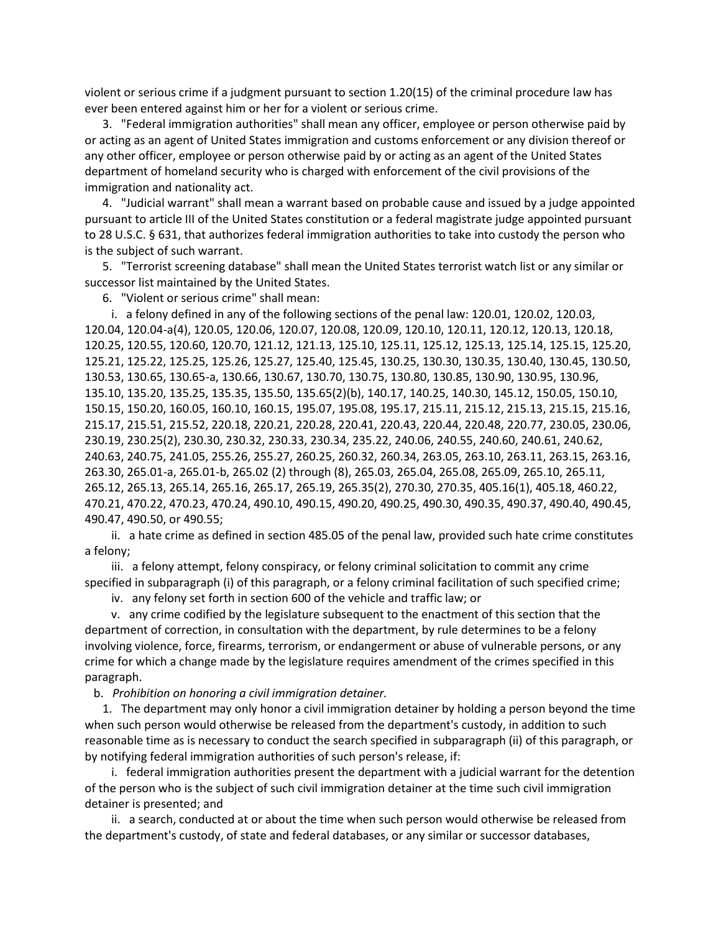violent or serious crime if a judgment pursuant to section 1.20(15) of the criminal procedure law has ever been entered against him or her for a violent or serious crime.

 3. "Federal immigration authorities" shall mean any officer, employee or person otherwise paid by or acting as an agent of United States immigration and customs enforcement or any division thereof or any other officer, employee or person otherwise paid by or acting as an agent of the United States department of homeland security who is charged with enforcement of the civil provisions of the immigration and nationality act.

 4. "Judicial warrant" shall mean a warrant based on probable cause and issued by a judge appointed pursuant to article III of the United States constitution or a federal magistrate judge appointed pursuant to 28 U.S.C. § 631, that authorizes federal immigration authorities to take into custody the person who is the subject of such warrant.

 5. "Terrorist screening database" shall mean the United States terrorist watch list or any similar or successor list maintained by the United States.

6. "Violent or serious crime" shall mean:

 i. a felony defined in any of the following sections of the penal law: 120.01, 120.02, 120.03, 120.04, 120.04-a(4), 120.05, 120.06, 120.07, 120.08, 120.09, 120.10, 120.11, 120.12, 120.13, 120.18, 120.25, 120.55, 120.60, 120.70, 121.12, 121.13, 125.10, 125.11, 125.12, 125.13, 125.14, 125.15, 125.20, 125.21, 125.22, 125.25, 125.26, 125.27, 125.40, 125.45, 130.25, 130.30, 130.35, 130.40, 130.45, 130.50, 130.53, 130.65, 130.65-a, 130.66, 130.67, 130.70, 130.75, 130.80, 130.85, 130.90, 130.95, 130.96, 135.10, 135.20, 135.25, 135.35, 135.50, 135.65(2)(b), 140.17, 140.25, 140.30, 145.12, 150.05, 150.10, 150.15, 150.20, 160.05, 160.10, 160.15, 195.07, 195.08, 195.17, 215.11, 215.12, 215.13, 215.15, 215.16, 215.17, 215.51, 215.52, 220.18, 220.21, 220.28, 220.41, 220.43, 220.44, 220.48, 220.77, 230.05, 230.06, 230.19, 230.25(2), 230.30, 230.32, 230.33, 230.34, 235.22, 240.06, 240.55, 240.60, 240.61, 240.62, 240.63, 240.75, 241.05, 255.26, 255.27, 260.25, 260.32, 260.34, 263.05, 263.10, 263.11, 263.15, 263.16, 263.30, 265.01-a, 265.01-b, 265.02 (2) through (8), 265.03, 265.04, 265.08, 265.09, 265.10, 265.11, 265.12, 265.13, 265.14, 265.16, 265.17, 265.19, 265.35(2), 270.30, 270.35, 405.16(1), 405.18, 460.22, 470.21, 470.22, 470.23, 470.24, 490.10, 490.15, 490.20, 490.25, 490.30, 490.35, 490.37, 490.40, 490.45, 490.47, 490.50, or 490.55;

 ii. a hate crime as defined in section 485.05 of the penal law, provided such hate crime constitutes a felony;

 iii. a felony attempt, felony conspiracy, or felony criminal solicitation to commit any crime specified in subparagraph (i) of this paragraph, or a felony criminal facilitation of such specified crime;

iv. any felony set forth in section 600 of the vehicle and traffic law; or

 v. any crime codified by the legislature subsequent to the enactment of this section that the department of correction, in consultation with the department, by rule determines to be a felony involving violence, force, firearms, terrorism, or endangerment or abuse of vulnerable persons, or any crime for which a change made by the legislature requires amendment of the crimes specified in this paragraph.

b. *Prohibition on honoring a civil immigration detainer.*

 1. The department may only honor a civil immigration detainer by holding a person beyond the time when such person would otherwise be released from the department's custody, in addition to such reasonable time as is necessary to conduct the search specified in subparagraph (ii) of this paragraph, or by notifying federal immigration authorities of such person's release, if:

 i. federal immigration authorities present the department with a judicial warrant for the detention of the person who is the subject of such civil immigration detainer at the time such civil immigration detainer is presented; and

 ii. a search, conducted at or about the time when such person would otherwise be released from the department's custody, of state and federal databases, or any similar or successor databases,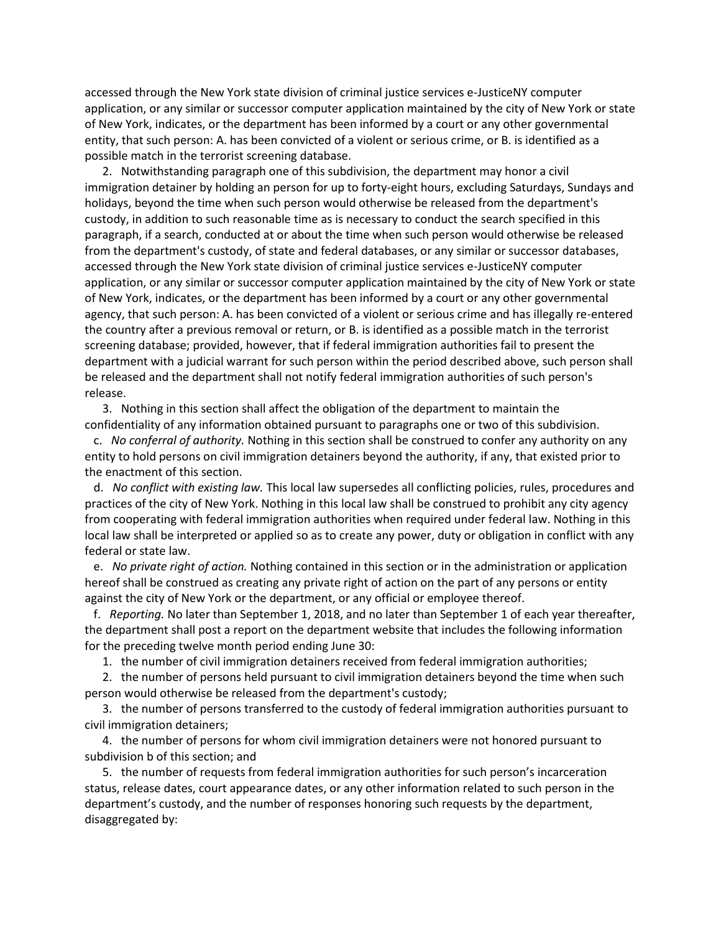accessed through the New York state division of criminal justice services e-JusticeNY computer application, or any similar or successor computer application maintained by the city of New York or state of New York, indicates, or the department has been informed by a court or any other governmental entity, that such person: A. has been convicted of a violent or serious crime, or B. is identified as a possible match in the terrorist screening database.

 2. Notwithstanding paragraph one of this subdivision, the department may honor a civil immigration detainer by holding an person for up to forty-eight hours, excluding Saturdays, Sundays and holidays, beyond the time when such person would otherwise be released from the department's custody, in addition to such reasonable time as is necessary to conduct the search specified in this paragraph, if a search, conducted at or about the time when such person would otherwise be released from the department's custody, of state and federal databases, or any similar or successor databases, accessed through the New York state division of criminal justice services e-JusticeNY computer application, or any similar or successor computer application maintained by the city of New York or state of New York, indicates, or the department has been informed by a court or any other governmental agency, that such person: A. has been convicted of a violent or serious crime and has illegally re-entered the country after a previous removal or return, or B. is identified as a possible match in the terrorist screening database; provided, however, that if federal immigration authorities fail to present the department with a judicial warrant for such person within the period described above, such person shall be released and the department shall not notify federal immigration authorities of such person's release.

 3. Nothing in this section shall affect the obligation of the department to maintain the confidentiality of any information obtained pursuant to paragraphs one or two of this subdivision.

 c. *No conferral of authority.* Nothing in this section shall be construed to confer any authority on any entity to hold persons on civil immigration detainers beyond the authority, if any, that existed prior to the enactment of this section.

 d. *No conflict with existing law.* This local law supersedes all conflicting policies, rules, procedures and practices of the city of New York. Nothing in this local law shall be construed to prohibit any city agency from cooperating with federal immigration authorities when required under federal law. Nothing in this local law shall be interpreted or applied so as to create any power, duty or obligation in conflict with any federal or state law.

 e. *No private right of action.* Nothing contained in this section or in the administration or application hereof shall be construed as creating any private right of action on the part of any persons or entity against the city of New York or the department, or any official or employee thereof.

 f. *Reporting.* No later than September 1, 2018, and no later than September 1 of each year thereafter, the department shall post a report on the department website that includes the following information for the preceding twelve month period ending June 30:

1. the number of civil immigration detainers received from federal immigration authorities;

 2. the number of persons held pursuant to civil immigration detainers beyond the time when such person would otherwise be released from the department's custody;

 3. the number of persons transferred to the custody of federal immigration authorities pursuant to civil immigration detainers;

 4. the number of persons for whom civil immigration detainers were not honored pursuant to subdivision b of this section; and

 5. the number of requests from federal immigration authorities for such person's incarceration status, release dates, court appearance dates, or any other information related to such person in the department's custody, and the number of responses honoring such requests by the department, disaggregated by: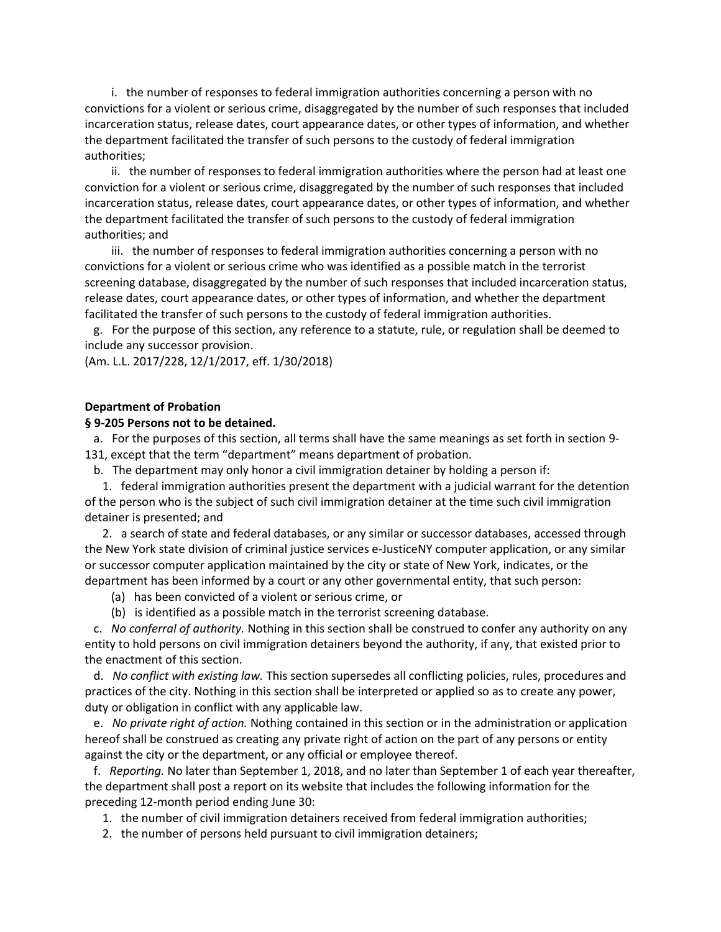i. the number of responses to federal immigration authorities concerning a person with no convictions for a violent or serious crime, disaggregated by the number of such responses that included incarceration status, release dates, court appearance dates, or other types of information, and whether the department facilitated the transfer of such persons to the custody of federal immigration authorities;

 ii. the number of responses to federal immigration authorities where the person had at least one conviction for a violent or serious crime, disaggregated by the number of such responses that included incarceration status, release dates, court appearance dates, or other types of information, and whether the department facilitated the transfer of such persons to the custody of federal immigration authorities; and

 iii. the number of responses to federal immigration authorities concerning a person with no convictions for a violent or serious crime who was identified as a possible match in the terrorist screening database, disaggregated by the number of such responses that included incarceration status, release dates, court appearance dates, or other types of information, and whether the department facilitated the transfer of such persons to the custody of federal immigration authorities.

 g. For the purpose of this section, any reference to a statute, rule, or regulation shall be deemed to include any successor provision.

(Am. L.L. 2017/228, 12/1/2017, eff. 1/30/2018)

# **Department of Probation**

### **§ 9-205 Persons not to be detained.**

 a. For the purposes of this section, all terms shall have the same meanings as set forth in section 9- 131, except that the term "department" means department of probation.

b. The department may only honor a civil immigration detainer by holding a person if:

 1. federal immigration authorities present the department with a judicial warrant for the detention of the person who is the subject of such civil immigration detainer at the time such civil immigration detainer is presented; and

 2. a search of state and federal databases, or any similar or successor databases, accessed through the New York state division of criminal justice services e-JusticeNY computer application, or any similar or successor computer application maintained by the city or state of New York, indicates, or the department has been informed by a court or any other governmental entity, that such person:

- (a) has been convicted of a violent or serious crime, or
- (b) is identified as a possible match in the terrorist screening database.

 c. *No conferral of authority.* Nothing in this section shall be construed to confer any authority on any entity to hold persons on civil immigration detainers beyond the authority, if any, that existed prior to the enactment of this section.

 d. *No conflict with existing law.* This section supersedes all conflicting policies, rules, procedures and practices of the city. Nothing in this section shall be interpreted or applied so as to create any power, duty or obligation in conflict with any applicable law.

 e. *No private right of action.* Nothing contained in this section or in the administration or application hereof shall be construed as creating any private right of action on the part of any persons or entity against the city or the department, or any official or employee thereof.

 f. *Reporting.* No later than September 1, 2018, and no later than September 1 of each year thereafter, the department shall post a report on its website that includes the following information for the preceding 12-month period ending June 30:

- 1. the number of civil immigration detainers received from federal immigration authorities;
- 2. the number of persons held pursuant to civil immigration detainers;